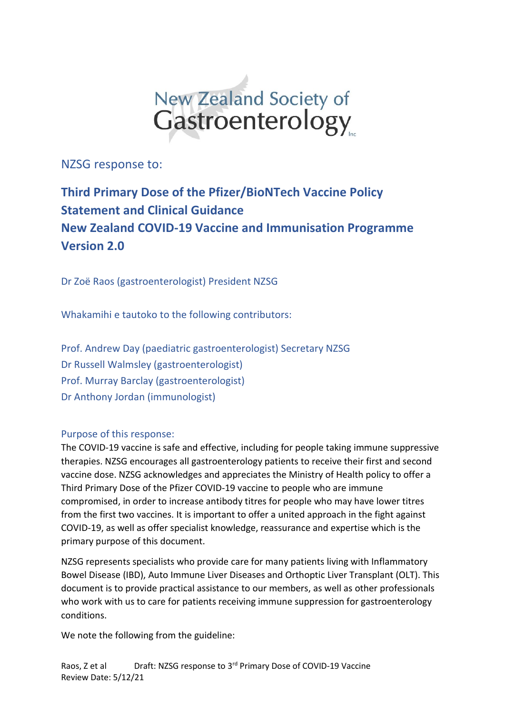

NZSG response to:

# **Third Primary Dose of the Pfizer/BioNTech Vaccine Policy Statement and Clinical Guidance New Zealand COVID-19 Vaccine and Immunisation Programme Version 2.0**

Dr Zoë Raos (gastroenterologist) President NZSG

Whakamihi e tautoko to the following contributors:

Prof. Andrew Day (paediatric gastroenterologist) Secretary NZSG Dr Russell Walmsley (gastroenterologist) Prof. Murray Barclay (gastroenterologist) Dr Anthony Jordan (immunologist)

#### Purpose of this response:

The COVID-19 vaccine is safe and effective, including for people taking immune suppressive therapies. NZSG encourages all gastroenterology patients to receive their first and second vaccine dose. NZSG acknowledges and appreciates the Ministry of Health policy to offer a Third Primary Dose of the Pfizer COVID-19 vaccine to people who are immune compromised, in order to increase antibody titres for people who may have lower titres from the first two vaccines. It is important to offer a united approach in the fight against COVID-19, as well as offer specialist knowledge, reassurance and expertise which is the primary purpose of this document.

NZSG represents specialists who provide care for many patients living with Inflammatory Bowel Disease (IBD), Auto Immune Liver Diseases and Orthoptic Liver Transplant (OLT). This document is to provide practical assistance to our members, as well as other professionals who work with us to care for patients receiving immune suppression for gastroenterology conditions.

We note the following from the guideline: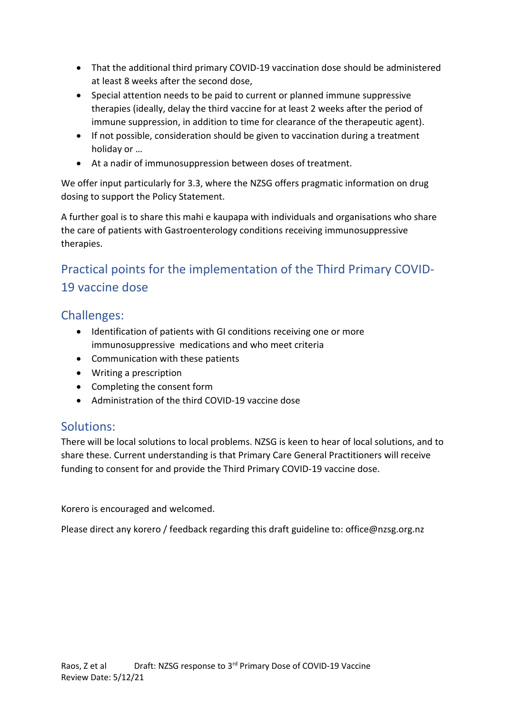- That the additional third primary COVID-19 vaccination dose should be administered at least 8 weeks after the second dose,
- Special attention needs to be paid to current or planned immune suppressive therapies (ideally, delay the third vaccine for at least 2 weeks after the period of immune suppression, in addition to time for clearance of the therapeutic agent).
- If not possible, consideration should be given to vaccination during a treatment holiday or …
- At a nadir of immunosuppression between doses of treatment.

We offer input particularly for 3.3, where the NZSG offers pragmatic information on drug dosing to support the Policy Statement.

A further goal is to share this mahi e kaupapa with individuals and organisations who share the care of patients with Gastroenterology conditions receiving immunosuppressive therapies.

# Practical points for the implementation of the Third Primary COVID-19 vaccine dose

#### Challenges:

- Identification of patients with GI conditions receiving one or more immunosuppressive medications and who meet criteria
- Communication with these patients
- Writing a prescription
- Completing the consent form
- Administration of the third COVID-19 vaccine dose

#### Solutions:

There will be local solutions to local problems. NZSG is keen to hear of local solutions, and to share these. Current understanding is that Primary Care General Practitioners will receive funding to consent for and provide the Third Primary COVID-19 vaccine dose.

Korero is encouraged and welcomed.

Please direct any korero / feedback regarding this draft guideline to: office@nzsg.org.nz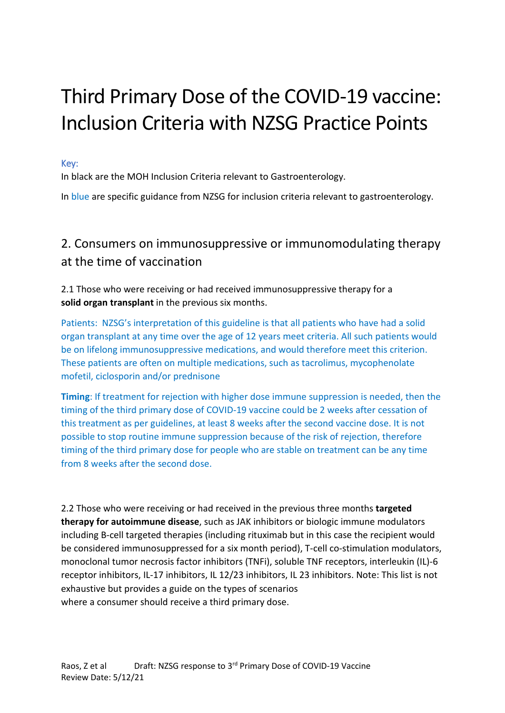# Third Primary Dose of the COVID-19 vaccine: Inclusion Criteria with NZSG Practice Points

Key:

In black are the MOH Inclusion Criteria relevant to Gastroenterology.

In blue are specific guidance from NZSG for inclusion criteria relevant to gastroenterology.

# 2. Consumers on immunosuppressive or immunomodulating therapy at the time of vaccination

2.1 Those who were receiving or had received immunosuppressive therapy for a **solid organ transplant** in the previous six months.

Patients: NZSG's interpretation of this guideline is that all patients who have had a solid organ transplant at any time over the age of 12 years meet criteria. All such patients would be on lifelong immunosuppressive medications, and would therefore meet this criterion. These patients are often on multiple medications, such as tacrolimus, mycophenolate mofetil, ciclosporin and/or prednisone

**Timing**: If treatment for rejection with higher dose immune suppression is needed, then the timing of the third primary dose of COVID-19 vaccine could be 2 weeks after cessation of this treatment as per guidelines, at least 8 weeks after the second vaccine dose. It is not possible to stop routine immune suppression because of the risk of rejection, therefore timing of the third primary dose for people who are stable on treatment can be any time from 8 weeks after the second dose.

2.2 Those who were receiving or had received in the previous three months **targeted therapy for autoimmune disease**, such as JAK inhibitors or biologic immune modulators including B-cell targeted therapies (including rituximab but in this case the recipient would be considered immunosuppressed for a six month period), T-cell co-stimulation modulators, monoclonal tumor necrosis factor inhibitors (TNFi), soluble TNF receptors, interleukin (IL)-6 receptor inhibitors, IL-17 inhibitors, IL 12/23 inhibitors, IL 23 inhibitors. Note: This list is not exhaustive but provides a guide on the types of scenarios where a consumer should receive a third primary dose.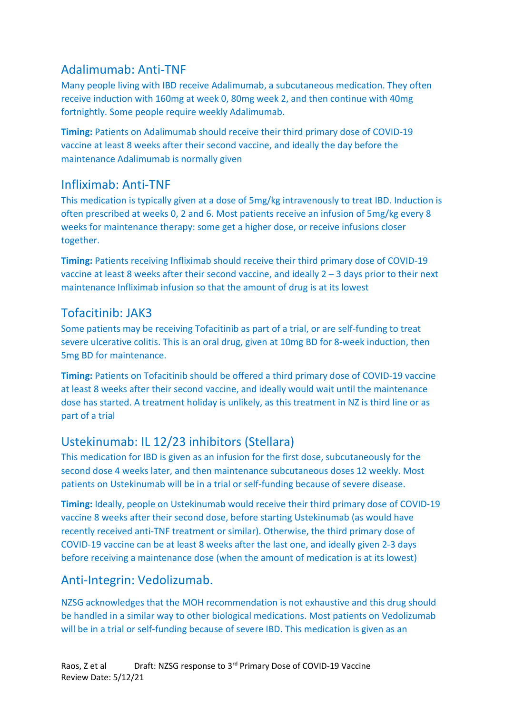## Adalimumab: Anti-TNF

Many people living with IBD receive Adalimumab, a subcutaneous medication. They often receive induction with 160mg at week 0, 80mg week 2, and then continue with 40mg fortnightly. Some people require weekly Adalimumab.

**Timing:** Patients on Adalimumab should receive their third primary dose of COVID-19 vaccine at least 8 weeks after their second vaccine, and ideally the day before the maintenance Adalimumab is normally given

#### Infliximab: Anti-TNF

This medication is typically given at a dose of 5mg/kg intravenously to treat IBD. Induction is often prescribed at weeks 0, 2 and 6. Most patients receive an infusion of 5mg/kg every 8 weeks for maintenance therapy: some get a higher dose, or receive infusions closer together.

**Timing:** Patients receiving Infliximab should receive their third primary dose of COVID-19 vaccine at least 8 weeks after their second vaccine, and ideally 2 – 3 days prior to their next maintenance Infliximab infusion so that the amount of drug is at its lowest

## Tofacitinib: JAK3

Some patients may be receiving Tofacitinib as part of a trial, or are self-funding to treat severe ulcerative colitis. This is an oral drug, given at 10mg BD for 8-week induction, then 5mg BD for maintenance.

**Timing:** Patients on Tofacitinib should be offered a third primary dose of COVID-19 vaccine at least 8 weeks after their second vaccine, and ideally would wait until the maintenance dose has started. A treatment holiday is unlikely, as this treatment in NZ is third line or as part of a trial

## Ustekinumab: IL 12/23 inhibitors (Stellara)

This medication for IBD is given as an infusion for the first dose, subcutaneously for the second dose 4 weeks later, and then maintenance subcutaneous doses 12 weekly. Most patients on Ustekinumab will be in a trial or self-funding because of severe disease.

**Timing:** Ideally, people on Ustekinumab would receive their third primary dose of COVID-19 vaccine 8 weeks after their second dose, before starting Ustekinumab (as would have recently received anti-TNF treatment or similar). Otherwise, the third primary dose of COVID-19 vaccine can be at least 8 weeks after the last one, and ideally given 2-3 days before receiving a maintenance dose (when the amount of medication is at its lowest)

## Anti-Integrin: Vedolizumab.

NZSG acknowledges that the MOH recommendation is not exhaustive and this drug should be handled in a similar way to other biological medications. Most patients on Vedolizumab will be in a trial or self-funding because of severe IBD. This medication is given as an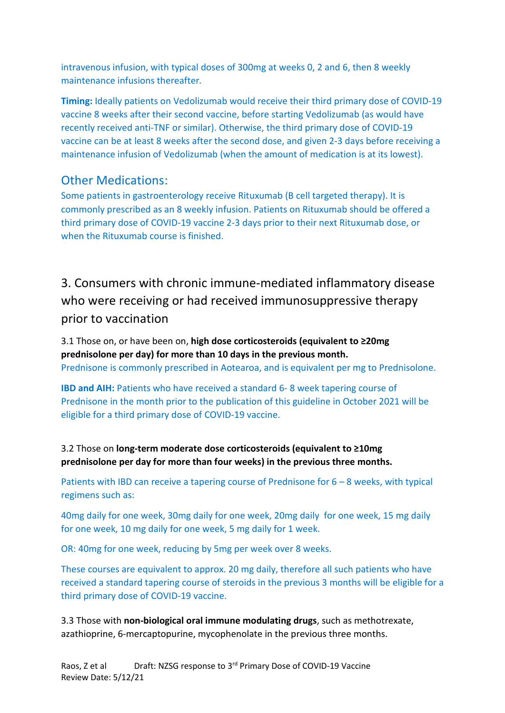intravenous infusion, with typical doses of 300mg at weeks 0, 2 and 6, then 8 weekly maintenance infusions thereafter*.*

**Timing:** Ideally patients on Vedolizumab would receive their third primary dose of COVID-19 vaccine 8 weeks after their second vaccine, before starting Vedolizumab (as would have recently received anti-TNF or similar). Otherwise, the third primary dose of COVID-19 vaccine can be at least 8 weeks after the second dose, and given 2-3 days before receiving a maintenance infusion of Vedolizumab (when the amount of medication is at its lowest).

#### Other Medications:

Some patients in gastroenterology receive Rituxumab (B cell targeted therapy). It is commonly prescribed as an 8 weekly infusion. Patients on Rituxumab should be offered a third primary dose of COVID-19 vaccine 2-3 days prior to their next Rituxumab dose, or when the Rituxumab course is finished.

3. Consumers with chronic immune-mediated inflammatory disease who were receiving or had received immunosuppressive therapy prior to vaccination

3.1 Those on, or have been on, **high dose corticosteroids (equivalent to ≥20mg prednisolone per day) for more than 10 days in the previous month.** Prednisone is commonly prescribed in Aotearoa, and is equivalent per mg to Prednisolone.

**IBD and AIH:** Patients who have received a standard 6-8 week tapering course of Prednisone in the month prior to the publication of this guideline in October 2021 will be eligible for a third primary dose of COVID-19 vaccine.

3.2 Those on **long-term moderate dose corticosteroids (equivalent to ≥10mg prednisolone per day for more than four weeks) in the previous three months.** 

Patients with IBD can receive a tapering course of Prednisone for 6 – 8 weeks, with typical regimens such as:

40mg daily for one week, 30mg daily for one week, 20mg daily for one week, 15 mg daily for one week, 10 mg daily for one week, 5 mg daily for 1 week.

OR: 40mg for one week, reducing by 5mg per week over 8 weeks.

These courses are equivalent to approx. 20 mg daily, therefore all such patients who have received a standard tapering course of steroids in the previous 3 months will be eligible for a third primary dose of COVID-19 vaccine.

3.3 Those with **non-biological oral immune modulating drugs**, such as methotrexate, azathioprine, 6-mercaptopurine, mycophenolate in the previous three months.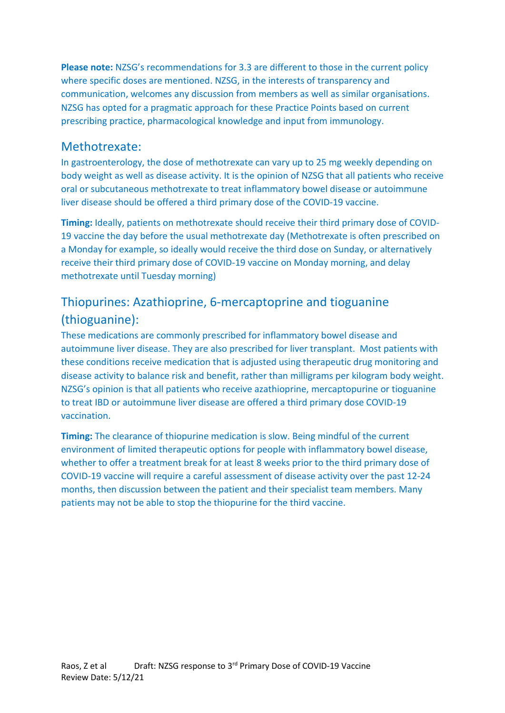**Please note:** NZSG's recommendations for 3.3 are different to those in the current policy where specific doses are mentioned. NZSG, in the interests of transparency and communication, welcomes any discussion from members as well as similar organisations. NZSG has opted for a pragmatic approach for these Practice Points based on current prescribing practice, pharmacological knowledge and input from immunology.

#### Methotrexate:

In gastroenterology, the dose of methotrexate can vary up to 25 mg weekly depending on body weight as well as disease activity. It is the opinion of NZSG that all patients who receive oral or subcutaneous methotrexate to treat inflammatory bowel disease or autoimmune liver disease should be offered a third primary dose of the COVID-19 vaccine.

**Timing:** Ideally, patients on methotrexate should receive their third primary dose of COVID-19 vaccine the day before the usual methotrexate day (Methotrexate is often prescribed on a Monday for example, so ideally would receive the third dose on Sunday, or alternatively receive their third primary dose of COVID-19 vaccine on Monday morning, and delay methotrexate until Tuesday morning)

## Thiopurines: Azathioprine, 6-mercaptoprine and tioguanine (thioguanine):

These medications are commonly prescribed for inflammatory bowel disease and autoimmune liver disease. They are also prescribed for liver transplant. Most patients with these conditions receive medication that is adjusted using therapeutic drug monitoring and disease activity to balance risk and benefit, rather than milligrams per kilogram body weight. NZSG's opinion is that all patients who receive azathioprine, mercaptopurine or tioguanine to treat IBD or autoimmune liver disease are offered a third primary dose COVID-19 vaccination.

**Timing:** The clearance of thiopurine medication is slow. Being mindful of the current environment of limited therapeutic options for people with inflammatory bowel disease, whether to offer a treatment break for at least 8 weeks prior to the third primary dose of COVID-19 vaccine will require a careful assessment of disease activity over the past 12-24 months, then discussion between the patient and their specialist team members. Many patients may not be able to stop the thiopurine for the third vaccine.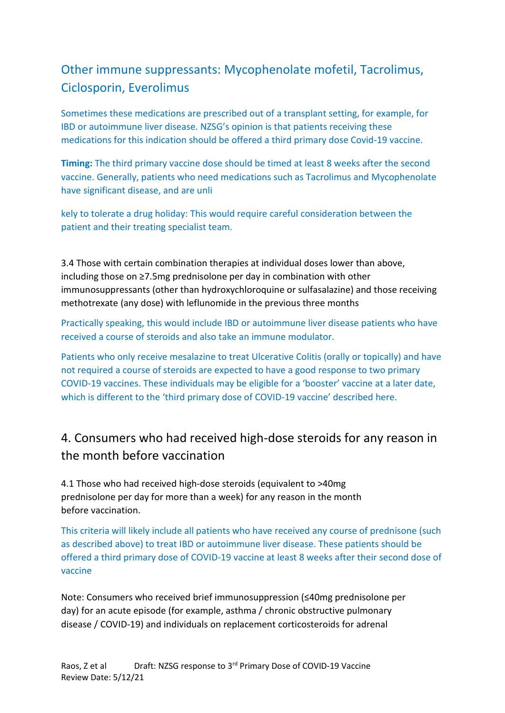# Other immune suppressants: Mycophenolate mofetil, Tacrolimus, Ciclosporin, Everolimus

Sometimes these medications are prescribed out of a transplant setting, for example, for IBD or autoimmune liver disease. NZSG's opinion is that patients receiving these medications for this indication should be offered a third primary dose Covid-19 vaccine.

**Timing:** The third primary vaccine dose should be timed at least 8 weeks after the second vaccine. Generally, patients who need medications such as Tacrolimus and Mycophenolate have significant disease, and are unli

kely to tolerate a drug holiday: This would require careful consideration between the patient and their treating specialist team.

3.4 Those with certain combination therapies at individual doses lower than above, including those on ≥7.5mg prednisolone per day in combination with other immunosuppressants (other than hydroxychloroquine or sulfasalazine) and those receiving methotrexate (any dose) with leflunomide in the previous three months

Practically speaking, this would include IBD or autoimmune liver disease patients who have received a course of steroids and also take an immune modulator.

Patients who only receive mesalazine to treat Ulcerative Colitis (orally or topically) and have not required a course of steroids are expected to have a good response to two primary COVID-19 vaccines. These individuals may be eligible for a 'booster' vaccine at a later date, which is different to the 'third primary dose of COVID-19 vaccine' described here.

# 4. Consumers who had received high-dose steroids for any reason in the month before vaccination

4.1 Those who had received high-dose steroids (equivalent to >40mg prednisolone per day for more than a week) for any reason in the month before vaccination.

This criteria will likely include all patients who have received any course of prednisone (such as described above) to treat IBD or autoimmune liver disease. These patients should be offered a third primary dose of COVID-19 vaccine at least 8 weeks after their second dose of vaccine

Note: Consumers who received brief immunosuppression (≤40mg prednisolone per day) for an acute episode (for example, asthma / chronic obstructive pulmonary disease / COVID-19) and individuals on replacement corticosteroids for adrenal